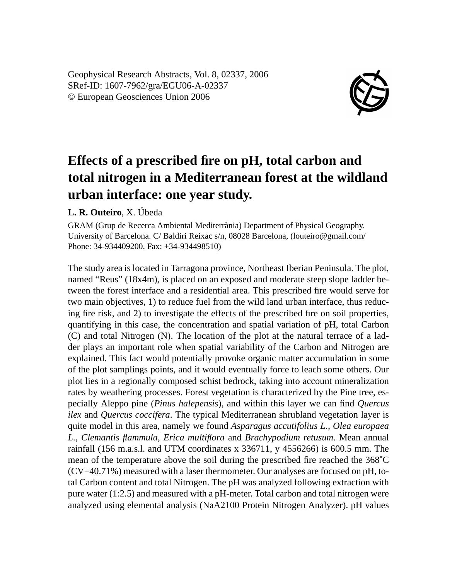Geophysical Research Abstracts, Vol. 8, 02337, 2006 SRef-ID: 1607-7962/gra/EGU06-A-02337 © European Geosciences Union 2006



## **Effects of a prescribed fire on pH, total carbon and total nitrogen in a Mediterranean forest at the wildland urban interface: one year study.**

## **L. R. Outeiro**, X. Úbeda

GRAM (Grup de Recerca Ambiental Mediterrània) Department of Physical Geography. University of Barcelona. C/ Baldiri Reixac s/n, 08028 Barcelona, (louteiro@gmail.com/ Phone: 34-934409200, Fax: +34-934498510)

The study area is located in Tarragona province, Northeast Iberian Peninsula. The plot, named "Reus" (18x4m), is placed on an exposed and moderate steep slope ladder between the forest interface and a residential area. This prescribed fire would serve for two main objectives, 1) to reduce fuel from the wild land urban interface, thus reducing fire risk, and 2) to investigate the effects of the prescribed fire on soil properties, quantifying in this case, the concentration and spatial variation of pH, total Carbon (C) and total Nitrogen (N). The location of the plot at the natural terrace of a ladder plays an important role when spatial variability of the Carbon and Nitrogen are explained. This fact would potentially provoke organic matter accumulation in some of the plot samplings points, and it would eventually force to leach some others. Our plot lies in a regionally composed schist bedrock, taking into account mineralization rates by weathering processes. Forest vegetation is characterized by the Pine tree, especially Aleppo pine (*Pinus halepensis*), and within this layer we can find *Quercus ilex* and *Quercus coccifera*. The typical Mediterranean shrubland vegetation layer is quite model in this area, namely we found *Asparagus accutifolius L., Olea europaea L., Clemantis flammula, Erica multiflora* and *Brachypodium retusum.* Mean annual rainfall (156 m.a.s.l. and UTM coordinates x 336711, y 4556266) is 600.5 mm. The mean of the temperature above the soil during the prescribed fire reached the 368˚C  $(CV=40.71\%)$  measured with a laser thermometer. Our analyses are focused on pH, total Carbon content and total Nitrogen. The pH was analyzed following extraction with pure water (1:2.5) and measured with a pH-meter. Total carbon and total nitrogen were analyzed using elemental analysis (NaA2100 Protein Nitrogen Analyzer). pH values